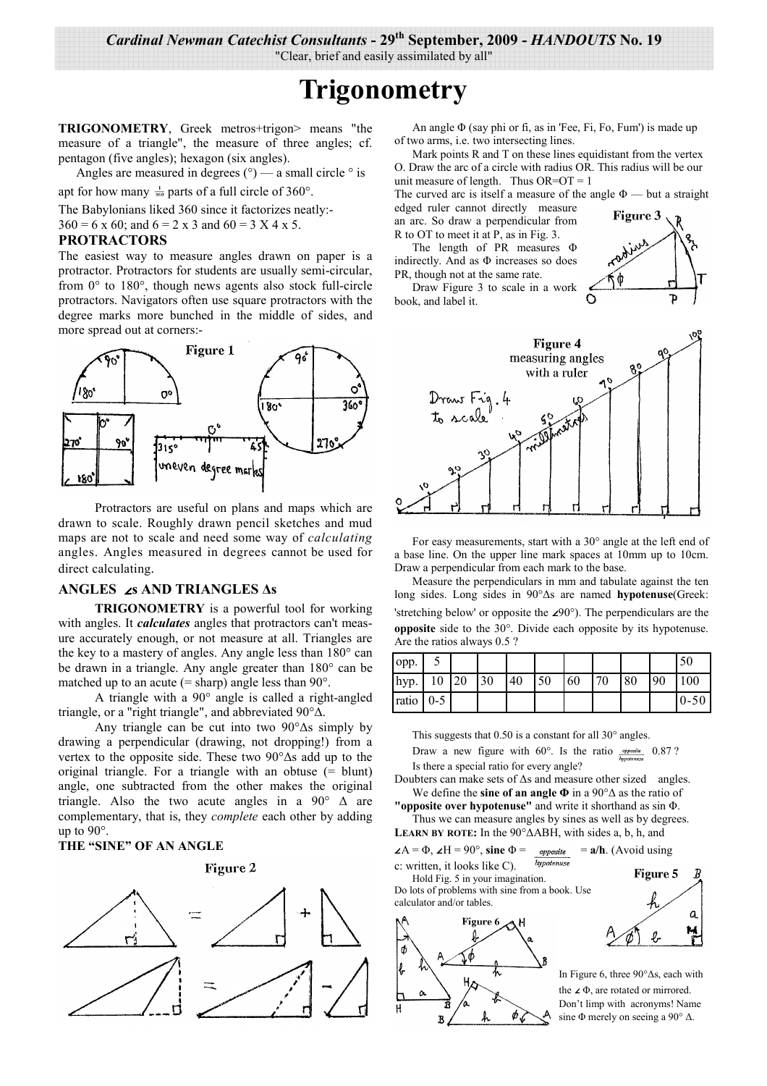Cardinal Newman Catechist Consultants - 29<sup>th</sup> September, 2009 - HANDOUTS No. 19

"Clear, brief and easily assimilated by all"

# **Trigonometry**

TRIGONOMETRY, Greek metros+trigon> means "the measure of a triangle", the measure of three angles; cf. pentagon (five angles); hexagon (six angles).

Angles are measured in degrees  $(°)$  — a small circle  $°$  is

apt for how many  $\frac{1}{360}$  parts of a full circle of 360°.

The Babylonians liked 360 since it factorizes neatly:- $360 = 6 \times 60$ ; and  $6 = 2 \times 3$  and  $60 = 3 \times 4 \times 5$ .

#### **PROTRACTORS**

The easiest way to measure angles drawn on paper is a protractor. Protractors for students are usually semi-circular, from  $0^{\circ}$  to  $180^{\circ}$ , though news agents also stock full-circle protractors. Navigators often use square protractors with the degree marks more bunched in the middle of sides, and more spread out at corners:-



Protractors are useful on plans and maps which are drawn to scale. Roughly drawn pencil sketches and mud maps are not to scale and need some way of *calculating* angles. Angles measured in degrees cannot be used for direct calculating.

## ANGLES  $\angle$ s AND TRIANGLES As

**TRIGONOMETRY** is a powerful tool for working with angles. It *calculates* angles that protractors can't measure accurately enough, or not measure at all. Triangles are the key to a mastery of angles. Any angle less than 180° can be drawn in a triangle. Any angle greater than 180° can be matched up to an acute  $(=\text{sharp})$  angle less than 90 $^{\circ}$ .

A triangle with a  $90^\circ$  angle is called a right-angled triangle, or a "right triangle", and abbreviated  $90^{\circ} \Delta$ .

Any triangle can be cut into two  $90^{\circ} \Delta s$  simply by drawing a perpendicular (drawing, not dropping!) from a vertex to the opposite side. These two  $90^{\circ}$ As add up to the original triangle. For a triangle with an obtuse  $(=$  blunt) angle, one subtracted from the other makes the original triangle. Also the two acute angles in a 90 $^{\circ}$   $\Delta$  are complementary, that is, they *complete* each other by adding up to  $90^\circ$ .

## THE "SINE" OF AN ANGLE





An angle  $\Phi$  (say phi or fi, as in 'Fee, Fi, Fo, Fum') is made up of two arms, i.e. two intersecting lines.

Mark points R and T on these lines equidistant from the vertex O. Draw the arc of a circle with radius OR. This radius will be our unit measure of length. Thus  $OR=OT=1$ 

The curved arc is itself a measure of the angle  $\Phi$  — but a straight

edged ruler cannot directly measure an arc. So draw a perpendicular from R to OT to meet it at P, as in Fig. 3.

The length of PR measures  $\Phi$ indirectly. And as  $\Phi$  increases so does PR, though not at the same rate. Draw Figure 3 to scale in a work

book, and label it.





For easy measurements, start with a 30° angle at the left end of a base line. On the upper line mark spaces at 10mm up to 10cm. Draw a perpendicular from each mark to the base.

Measure the perpendiculars in mm and tabulate against the ten long sides. Long sides in 90° $\Delta$ s are named hypotenuse(Greek: 'stretching below' or opposite the  $\angle 90^\circ$ ). The perpendiculars are the **opposite** side to the  $30^\circ$ . Divide each opposite by its hypotenuse. Are the ratios always 0.5 ?

| opp.        |    |    |    |    |    |    |    |    |    | 50       |
|-------------|----|----|----|----|----|----|----|----|----|----------|
| hyp.        | 10 | 20 | 30 | 40 | 50 | 60 | 70 | 80 | 90 | 100      |
| ratio $0-5$ |    |    |    |    |    |    |    |    |    | $0 - 50$ |

This suggests that 0.50 is a constant for all  $30^{\circ}$  angles.

Draw a new figure with  $60^\circ$ . Is the ratio *supposite* 0.87? Is there a special ratio for every angle?

Doubters can make sets of  $\Delta s$  and measure other sized angles. We define the sine of an angle  $\Phi$  in a 90 $\degree$  $\Delta$  as the ratio of

"opposite over hypotenuse" and write it shorthand as sin  $\Phi$ . Thus we can measure angles by sines as well as by degrees.

**LEARN BY ROTE:** In the  $90^{\circ} \triangle ABH$ , with sides a, b, h, and

*opposite* =  $a/h$ . (Avoid using  $\angle A = \Phi$ ,  $\angle H = 90^\circ$ , sine  $\Phi =$ 

hypotenuse c: written, it looks like C). Hold Fig. 5 in your imagination.

Do lots of problems with sine from a book. Use calculator and/or tables





In Figure 6, three  $90^{\circ}$   $\Delta$ s, each with the  $\angle$   $\Phi$ , are rotated or mirrored. Don't limp with acronyms! Name sine  $\Phi$  merely on seeing a 90°  $\Delta$ .